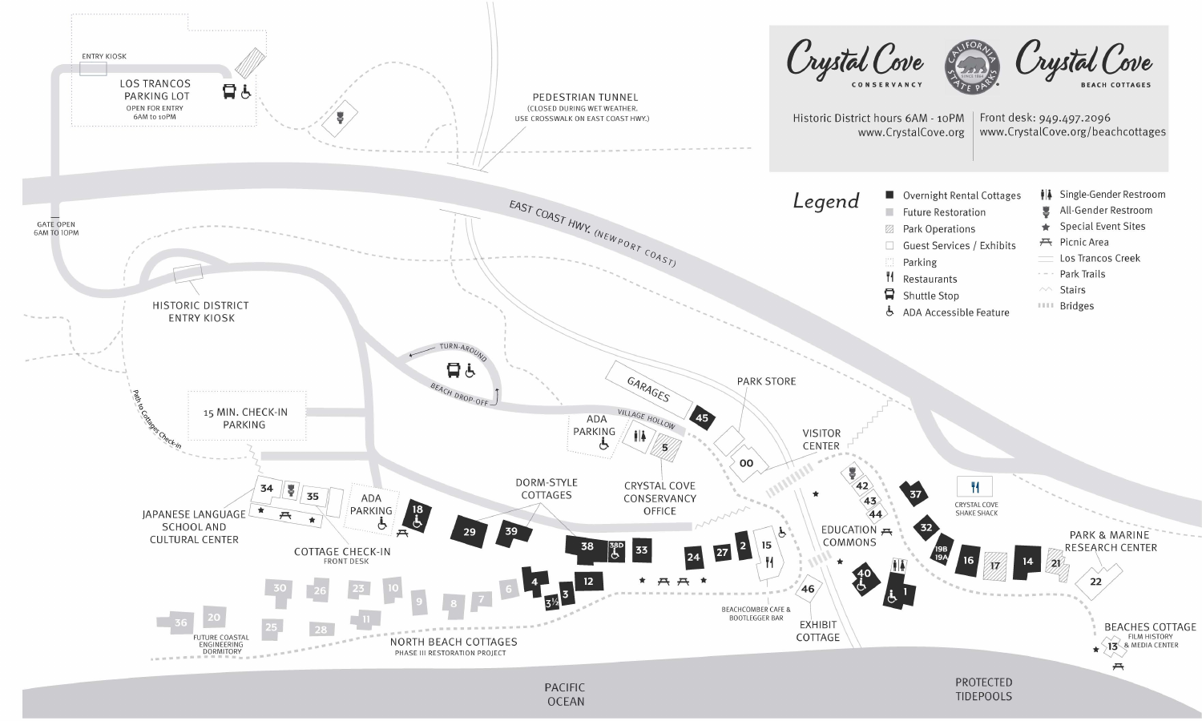